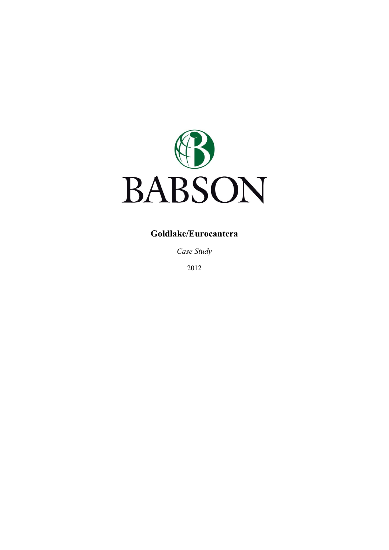

# **Goldlake/Eurocantera**

*Case Study* 

2012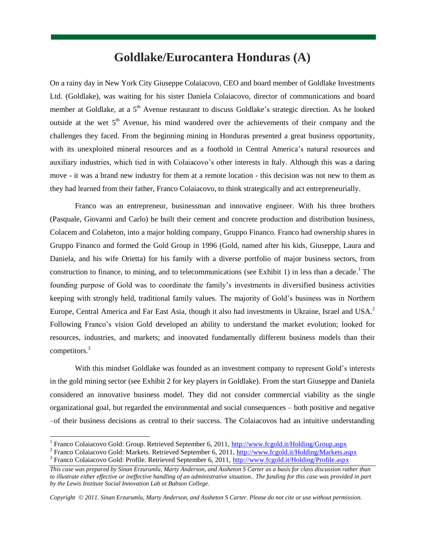# **Goldlake/Eurocantera Honduras (A)**

On a rainy day in New York City Giuseppe Colaiacovo, CEO and board member of Goldlake Investments Ltd. (Goldlake), was waiting for his sister Daniela Colaiacovo, director of communications and board member at Goldlake, at a 5<sup>th</sup> Avenue restaurant to discuss Goldlake's strategic direction. As he looked outside at the wet  $5<sup>th</sup>$  Avenue, his mind wandered over the achievements of their company and the challenges they faced. From the beginning mining in Honduras presented a great business opportunity, with its unexploited mineral resources and as a foothold in Central America"s natural resources and auxiliary industries, which tied in with Colaiacovo's other interests in Italy. Although this was a daring move - it was a brand new industry for them at a remote location - this decision was not new to them as they had learned from their father, Franco Colaiacovo, to think strategically and act entrepreneurially.

Franco was an entrepreneur, businessman and innovative engineer. With his three brothers (Pasquale, Giovanni and Carlo) he built their cement and concrete production and distribution business, Colacem and Colabeton, into a major holding company, Gruppo Financo. Franco had ownership shares in Gruppo Financo and formed the Gold Group in 1996 (Gold, named after his kids, Giuseppe, Laura and Daniela, and his wife Orietta) for his family with a diverse portfolio of major business sectors, from construction to finance, to mining, and to telecommunications (see Exhibit 1) in less than a decade.<sup>1</sup> The founding purpose of Gold was to coordinate the family"s investments in diversified business activities keeping with strongly held, traditional family values. The majority of Gold"s business was in Northern Europe, Central America and Far East Asia, though it also had investments in Ukraine, Israel and USA.<sup>2</sup> Following Franco"s vision Gold developed an ability to understand the market evolution; looked for resources, industries, and markets; and innovated fundamentally different business models than their competitors.<sup>3</sup>

With this mindset Goldlake was founded as an investment company to represent Gold's interests in the gold mining sector (see Exhibit 2 for key players in Goldlake). From the start Giuseppe and Daniela considered an innovative business model. They did not consider commercial viability as the single organizational goal, but regarded the environmental and social consequences – both positive and negative –of their business decisions as central to their success. The Colaiacovos had an intuitive understanding

l

*Copyright 2011. Sinan Erzurumlu, Marty Anderson, and Assheton S Carter. Please do not cite or use without permission.*

<sup>&</sup>lt;sup>1</sup> Franco Colaiacovo Gold: Group. Retrieved September 6, 2011,<http://www.fcgold.it/Holding/Group.aspx>

<sup>&</sup>lt;sup>2</sup> Franco Colaiacovo Gold: Markets. Retrieved September 6, 2011[, http://www.fcgold.it/Holding/Markets.aspx](http://www.fcgold.it/Holding/Markets.aspx) <sup>3</sup> Franco Colaiacovo Gold: Profile. Retrieved September 6, 2011,<http://www.fcgold.it/Holding/Profile.aspx>

*This case was prepared by Sinan Erzurumlu, Marty Anderson, and Assheton S Carter as a basis for class discussion rather than to illustrate either effective or ineffective handling of an administrative situation.. The funding for this case was provided in part by the Lewis Institute Social Innovation Lab at Babson College.*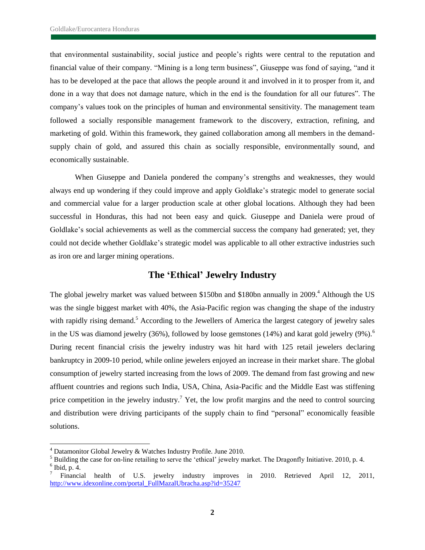that environmental sustainability, social justice and people"s rights were central to the reputation and financial value of their company. "Mining is a long term business", Giuseppe was fond of saying, "and it has to be developed at the pace that allows the people around it and involved in it to prosper from it, and done in a way that does not damage nature, which in the end is the foundation for all our futures". The company"s values took on the principles of human and environmental sensitivity. The management team followed a socially responsible management framework to the discovery, extraction, refining, and marketing of gold. Within this framework, they gained collaboration among all members in the demandsupply chain of gold, and assured this chain as socially responsible, environmentally sound, and economically sustainable.

When Giuseppe and Daniela pondered the company's strengths and weaknesses, they would always end up wondering if they could improve and apply Goldlake"s strategic model to generate social and commercial value for a larger production scale at other global locations. Although they had been successful in Honduras, this had not been easy and quick. Giuseppe and Daniela were proud of Goldlake's social achievements as well as the commercial success the company had generated; yet, they could not decide whether Goldlake"s strategic model was applicable to all other extractive industries such as iron ore and larger mining operations.

### **The 'Ethical' Jewelry Industry**

The global jewelry market was valued between \$150bn and \$180bn annually in 2009.<sup>4</sup> Although the US was the single biggest market with 40%, the Asia-Pacific region was changing the shape of the industry with rapidly rising demand.<sup>5</sup> According to the Jewellers of America the largest category of jewelry sales in the US was diamond jewelry  $(36%)$ , followed by loose gemstones  $(14%)$  and karat gold jewelry  $(9%)$ .<sup>6</sup> During recent financial crisis the jewelry industry was hit hard with 125 retail jewelers declaring bankruptcy in 2009-10 period, while online jewelers enjoyed an increase in their market share. The global consumption of jewelry started increasing from the lows of 2009. The demand from fast growing and new affluent countries and regions such India, USA, China, Asia-Pacific and the Middle East was stiffening price competition in the jewelry industry.<sup>7</sup> Yet, the low profit margins and the need to control sourcing and distribution were driving participants of the supply chain to find "personal" economically feasible solutions.

l

 $4$  Datamonitor Global Jewelry & Watches Industry Profile. June 2010.

<sup>&</sup>lt;sup>5</sup> Building the case for on-line retailing to serve the 'ethical' jewelry market. The Dragonfly Initiative. 2010, p. 4.  $6$  Ibid, p. 4.

<sup>7</sup> Financial health of U.S. jewelry industry improves in 2010. Retrieved April 12, 2011, [http://www.idexonline.com/portal\\_FullMazalUbracha.asp?id=35247](http://www.idexonline.com/portal_FullMazalUbracha.asp?id=35247)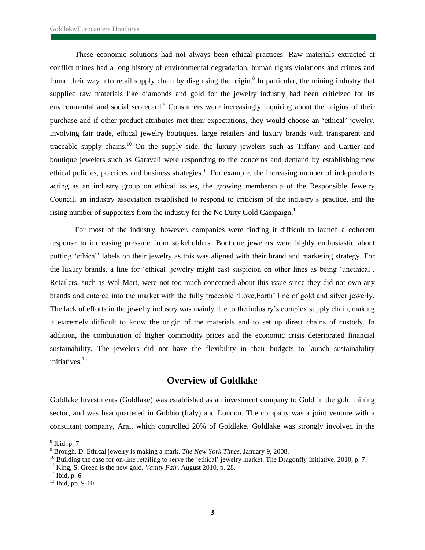These economic solutions had not always been ethical practices. Raw materials extracted at conflict mines had a long history of environmental degradation, human rights violations and crimes and found their way into retail supply chain by disguising the origin.<sup>8</sup> In particular, the mining industry that supplied raw materials like diamonds and gold for the jewelry industry had been criticized for its environmental and social scorecard.<sup>9</sup> Consumers were increasingly inquiring about the origins of their purchase and if other product attributes met their expectations, they would choose an "ethical" jewelry, involving fair trade, ethical jewelry boutiques, large retailers and luxury brands with transparent and traceable supply chains.<sup>10</sup> On the supply side, the luxury jewelers such as Tiffany and Cartier and boutique jewelers such as Garaveli were responding to the concerns and demand by establishing new ethical policies, practices and business strategies.<sup>11</sup> For example, the increasing number of independents acting as an industry group on ethical issues, the growing membership of the Responsible Jewelry Council, an industry association established to respond to criticism of the industry"s practice, and the rising number of supporters from the industry for the No Dirty Gold Campaign.<sup>12</sup>

For most of the industry, however, companies were finding it difficult to launch a coherent response to increasing pressure from stakeholders. Boutique jewelers were highly enthusiastic about putting "ethical" labels on their jewelry as this was aligned with their brand and marketing strategy. For the luxury brands, a line for "ethical" jewelry might cast suspicion on other lines as being "unethical". Retailers, such as Wal-Mart, were not too much concerned about this issue since they did not own any brands and entered into the market with the fully traceable "Love,Earth" line of gold and silver jewerly. The lack of efforts in the jewelry industry was mainly due to the industry"s complex supply chain, making it extremely difficult to know the origin of the materials and to set up direct chains of custody. In addition, the combination of higher commodity prices and the economic crisis deteriorated financial sustainability. The jewelers did not have the flexibility in their budgets to launch sustainability initiatives.<sup>13</sup>

## **Overview of Goldlake**

Goldlake Investments (Goldlake) was established as an investment company to Gold in the gold mining sector, and was headquartered in Gubbio (Italy) and London. The company was a joint venture with a consultant company, Aral, which controlled 20% of Goldlake. Goldlake was strongly involved in the

l

<sup>8</sup> Ibid, p. 7.

<sup>9</sup> Brough, D. Ethical jewelry is making a mark. *The New York Times*, January 9, 2008.

<sup>&</sup>lt;sup>10</sup> Building the case for on-line retailing to serve the 'ethical' jewelry market. The Dragonfly Initiative. 2010, p. 7.

<sup>&</sup>lt;sup>11</sup> King, S. Green is the new gold. *Vanity Fair*, August 2010, p. 28.

 $12$  Ibid, p. 6.

 $13$  Ibid, pp. 9-10.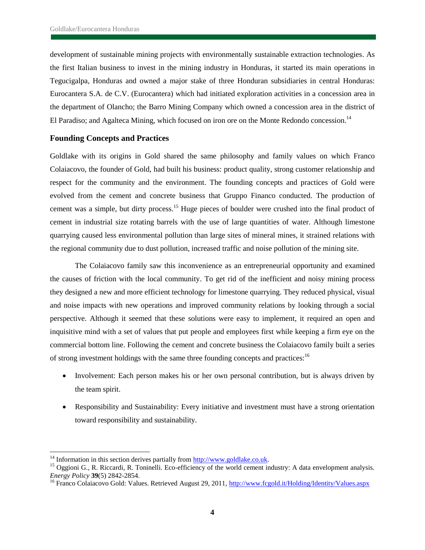development of sustainable mining projects with environmentally sustainable extraction technologies. As the first Italian business to invest in the mining industry in Honduras, it started its main operations in Tegucigalpa, Honduras and owned a major stake of three Honduran subsidiaries in central Honduras: Eurocantera S.A. de C.V. (Eurocantera) which had initiated exploration activities in a concession area in the department of Olancho; the Barro Mining Company which owned a concession area in the district of El Paradiso; and Agalteca Mining, which focused on iron ore on the Monte Redondo concession.<sup>14</sup>

### **Founding Concepts and Practices**

Goldlake with its origins in Gold shared the same philosophy and family values on which Franco Colaiacovo, the founder of Gold, had built his business: product quality, strong customer relationship and respect for the community and the environment. The founding concepts and practices of Gold were evolved from the cement and concrete business that Gruppo Financo conducted. The production of cement was a simple, but dirty process.<sup>15</sup> Huge pieces of boulder were crushed into the final product of cement in industrial size rotating barrels with the use of large quantities of water. Although limestone quarrying caused less environmental pollution than large sites of mineral mines, it strained relations with the regional community due to dust pollution, increased traffic and noise pollution of the mining site.

The Colaiacovo family saw this inconvenience as an entrepreneurial opportunity and examined the causes of friction with the local community. To get rid of the inefficient and noisy mining process they designed a new and more efficient technology for limestone quarrying. They reduced physical, visual and noise impacts with new operations and improved community relations by looking through a social perspective. Although it seemed that these solutions were easy to implement, it required an open and inquisitive mind with a set of values that put people and employees first while keeping a firm eye on the commercial bottom line. Following the cement and concrete business the Colaiacovo family built a series of strong investment holdings with the same three founding concepts and practices:<sup>16</sup>

- Involvement: Each person makes his or her own personal contribution, but is always driven by the team spirit.
- Responsibility and Sustainability: Every initiative and investment must have a strong orientation toward responsibility and sustainability.

 $\overline{a}$ 

<sup>&</sup>lt;sup>14</sup> Information in this section derives partially from  $\frac{http://www.gold lake.co.uk.}$ 

<sup>&</sup>lt;sup>15</sup> Oggioni G., R. Riccardi, R. Toninelli. Eco-efficiency of the world cement industry: A data envelopment analysis. *Energy Policy* **39**(5) 2842-2854.

<sup>&</sup>lt;sup>16</sup> Franco Colaiacovo Gold: Values. Retrieved August 29, 2011,<http://www.fcgold.it/Holding/Identity/Values.aspx>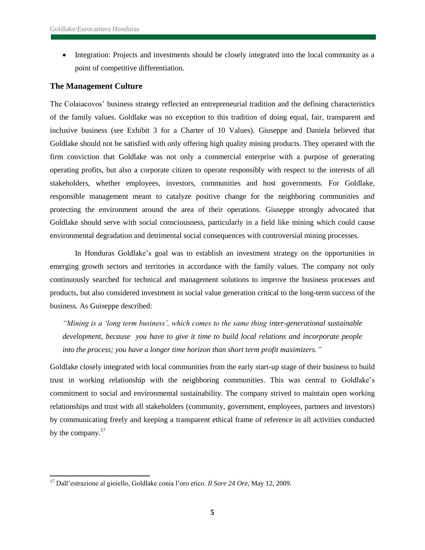• Integration: Projects and investments should be closely integrated into the local community as a point of competitive differentiation.

### **The Management Culture**

The Colaiacovos" business strategy reflected an entrepreneurial tradition and the defining characteristics of the family values. Goldlake was no exception to this tradition of doing equal, fair, transparent and inclusive business (see Exhibit 3 for a Charter of 10 Values). Giuseppe and Daniela believed that Goldlake should not be satisfied with only offering high quality mining products. They operated with the firm conviction that Goldlake was not only a commercial enterprise with a purpose of generating operating profits, but also a corporate citizen to operate responsibly with respect to the interests of all stakeholders, whether employees, investors, communities and host governments. For Goldlake, responsible management meant to catalyze positive change for the neighboring communities and protecting the environment around the area of their operations. Giuseppe strongly advocated that Goldlake should serve with social consciousness, particularly in a field like mining which could cause environmental degradation and detrimental social consequences with controversial mining processes.

In Honduras Goldlake"s goal was to establish an investment strategy on the opportunities in emerging growth sectors and territories in accordance with the family values. The company not only continuously searched for technical and management solutions to improve the business processes and products, but also considered investment in social value generation critical to the long-term success of the business. As Guiseppe described:

*"Mining is a "long term business", which comes to the same thing inter-generational sustainable development, because you have to give it time to build local relations and incorporate people into the process; you have a longer time horizon than short term profit maximizers."*

Goldlake closely integrated with local communities from the early start-up stage of their business to build trust in working relationship with the neighboring communities. This was central to Goldlake"s commitment to social and environmental sustainability. The company strived to maintain open working relationships and trust with all stakeholders (community, government, employees, partners and investors) by communicating freely and keeping a transparent ethical frame of reference in all activities conducted by the company.<sup>17</sup>

l

<sup>17</sup> Dall"estrazione al gioiello, Goldlake conia l"oro etico. *Il Sore 24 Ore*, May 12, 2009.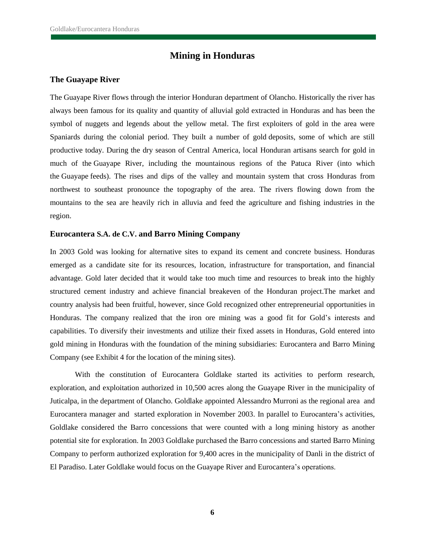## **Mining in Honduras**

### **The Guayape River**

The [Guayape](http://en.wikipedia.org/wiki/Guayape) River flows through the interior Honduran department of Olancho. Historically the river has always been famous for its quality and quantity of alluvial gold extracted in Honduras and has been the symbol of nuggets and legends about the yellow metal. The first exploiters of gold in the area were Spaniards during the colonial period. They built a number of [gold](http://en.wikipedia.org/wiki/Gold) deposits, some of which are still productive today. During the dry season of Central America, local Honduran artisans search for gold in much of the Guayape River, including the mountainous regions of the Patuca River (into which the [Guayape](http://en.wikipedia.org/wiki/Guayape) feeds). The rises and dips of the valley and mountain system that cross Honduras from northwest to southeast pronounce the topography of the area. The rivers flowing down from the mountains to the sea are heavily rich in alluvia and feed the agriculture and fishing industries in the region.

#### **Eurocantera S.A. de C.V. and Barro Mining Company**

In 2003 Gold was looking for alternative sites to expand its cement and concrete business. Honduras emerged as a candidate site for its resources, location, infrastructure for transportation, and financial advantage. Gold later decided that it would take too much time and resources to break into the highly structured cement industry and achieve financial breakeven of the Honduran project.The market and country analysis had been fruitful, however, since Gold recognized other entrepreneurial opportunities in Honduras. The company realized that the iron ore mining was a good fit for Gold"s interests and capabilities. To diversify their investments and utilize their fixed assets in Honduras, Gold entered into gold mining in Honduras with the foundation of the mining subsidiaries: Eurocantera and Barro Mining Company (see Exhibit 4 for the location of the mining sites).

With the constitution of Eurocantera Goldlake started its activities to perform research, exploration, and exploitation authorized in 10,500 acres along the Guayape River in the municipality of Juticalpa, in the department of Olancho. Goldlake appointed Alessandro Murroni as the regional area and Eurocantera manager and started exploration in November 2003. In parallel to Eurocantera"s activities, Goldlake considered the Barro concessions that were counted with a long mining history as another potential site for exploration. In 2003 Goldlake purchased the Barro concessions and started Barro Mining Company to perform authorized exploration for 9,400 acres in the municipality of Danli in the district of El Paradiso. Later Goldlake would focus on the Guayape River and Eurocantera"s operations.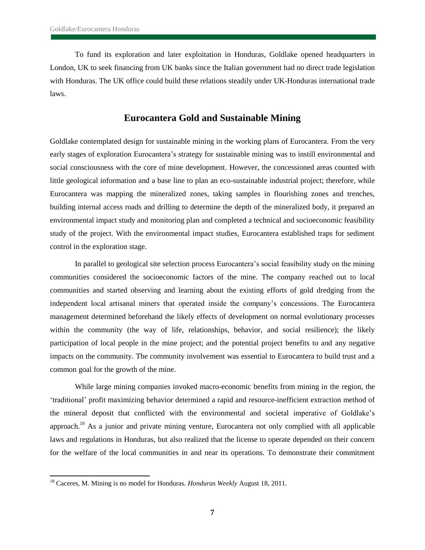To fund its exploration and later exploitation in Honduras, Goldlake opened headquarters in London, UK to seek financing from UK banks since the Italian government had no direct trade legislation with Honduras. The UK office could build these relations steadily under UK-Honduras international trade laws.

## **Eurocantera Gold and Sustainable Mining**

Goldlake contemplated design for sustainable mining in the working plans of Eurocantera. From the very early stages of exploration Eurocantera"s strategy for sustainable mining was to instill environmental and social consciousness with the core of mine development. However, the concessioned areas counted with little geological information and a base line to plan an eco-sustainable industrial project; therefore, while Eurocantera was mapping the mineralized zones, taking samples in flourishing zones and trenches, building internal access roads and drilling to determine the depth of the mineralized body, it prepared an environmental impact study and monitoring plan and completed a technical and socioeconomic feasibility study of the project. With the environmental impact studies, Eurocantera established traps for sediment control in the exploration stage.

In parallel to geological site selection process Eurocantera"s social feasibility study on the mining communities considered the socioeconomic factors of the mine. The company reached out to local communities and started observing and learning about the existing efforts of gold dredging from the independent local artisanal miners that operated inside the company"s concessions. The Eurocantera management determined beforehand the likely effects of development on normal evolutionary processes within the community (the way of life, relationships, behavior, and social resilience); the likely participation of local people in the mine project; and the potential project benefits to and any negative impacts on the community. The community involvement was essential to Eurocantera to build trust and a common goal for the growth of the mine.

While large mining companies invoked macro-economic benefits from mining in the region, the "traditional" profit maximizing behavior determined a rapid and resource-inefficient extraction method of the mineral deposit that conflicted with the environmental and societal imperative of Goldlake"s approach.<sup>18</sup> As a junior and private mining venture, Eurocantera not only complied with all applicable laws and regulations in Honduras, but also realized that the license to operate depended on their concern for the welfare of the local communities in and near its operations. To demonstrate their commitment

l

<sup>18</sup> Caceres, M. Mining is no model for Honduras. *Honduras Weekly* August 18, 2011.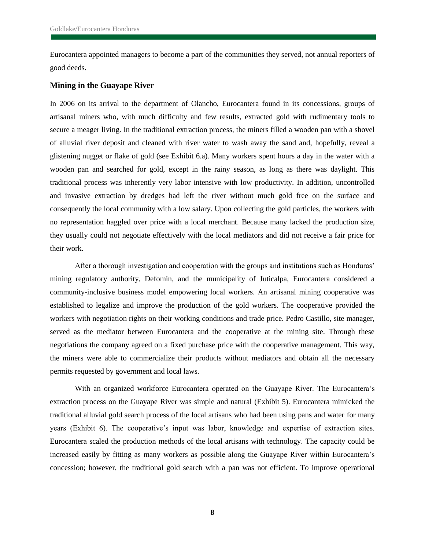Eurocantera appointed managers to become a part of the communities they served, not annual reporters of good deeds.

### **Mining in the Guayape River**

In 2006 on its arrival to the department of Olancho, Eurocantera found in its concessions, groups of artisanal miners who, with much difficulty and few results, extracted gold with rudimentary tools to secure a meager living. In the traditional extraction process, the miners filled a wooden pan with a shovel of alluvial river deposit and cleaned with river water to wash away the sand and, hopefully, reveal a glistening nugget or flake of gold (see Exhibit 6.a). Many workers spent hours a day in the water with a wooden pan and searched for gold, except in the rainy season, as long as there was daylight. This traditional process was inherently very labor intensive with low productivity. In addition, uncontrolled and invasive extraction by dredges had left the river without much gold free on the surface and consequently the local community with a low salary. Upon collecting the gold particles, the workers with no representation haggled over price with a local merchant. Because many lacked the production size, they usually could not negotiate effectively with the local mediators and did not receive a fair price for their work.

After a thorough investigation and cooperation with the groups and institutions such as Honduras" mining regulatory authority, Defomin, and the municipality of Juticalpa, Eurocantera considered a community-inclusive business model empowering local workers. An artisanal mining cooperative was established to legalize and improve the production of the gold workers. The cooperative provided the workers with negotiation rights on their working conditions and trade price. Pedro Castillo, site manager, served as the mediator between Eurocantera and the cooperative at the mining site. Through these negotiations the company agreed on a fixed purchase price with the cooperative management. This way, the miners were able to commercialize their products without mediators and obtain all the necessary permits requested by government and local laws.

With an organized workforce Eurocantera operated on the Guayape River. The Eurocantera's extraction process on the Guayape River was simple and natural (Exhibit 5). Eurocantera mimicked the traditional alluvial gold search process of the local artisans who had been using pans and water for many years (Exhibit 6). The cooperative"s input was labor, knowledge and expertise of extraction sites. Eurocantera scaled the production methods of the local artisans with technology. The capacity could be increased easily by fitting as many workers as possible along the Guayape River within Eurocantera"s concession; however, the traditional gold search with a pan was not efficient. To improve operational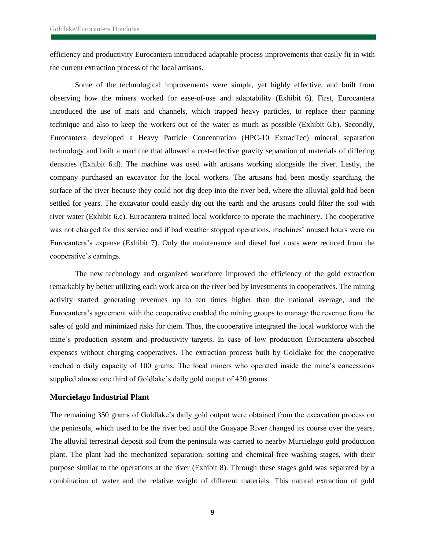efficiency and productivity Eurocantera introduced adaptable process improvements that easily fit in with the current extraction process of the local artisans.

Some of the technological improvements were simple, yet highly effective, and built from observing how the miners worked for ease-of-use and adaptability (Exhibit 6). First, Eurocantera introduced the use of mats and channels, which trapped heavy particles, to replace their panning technique and also to keep the workers out of the water as much as possible (Exhibit 6.b). Secondly, Eurocantera developed a Heavy Particle Concentration (HPC-10 ExtracTec) mineral separation technology and built a machine that allowed a cost-effective gravity separation of materials of differing densities (Exhibit 6.d). The machine was used with artisans working alongside the river. Lastly, the company purchased an excavator for the local workers. The artisans had been mostly searching the surface of the river because they could not dig deep into the river bed, where the alluvial gold had been settled for years. The excavator could easily dig out the earth and the artisans could filter the soil with river water (Exhibit 6.e). Eurocantera trained local workforce to operate the machinery. The cooperative was not charged for this service and if bad weather stopped operations, machines' unused hours were on Eurocantera"s expense (Exhibit 7). Only the maintenance and diesel fuel costs were reduced from the cooperative's earnings.

The new technology and organized workforce improved the efficiency of the gold extraction remarkably by better utilizing each work area on the river bed by investments in cooperatives. The mining activity started generating revenues up to ten times higher than the national average, and the Eurocantera"s agreement with the cooperative enabled the mining groups to manage the revenue from the sales of gold and minimized risks for them. Thus, the cooperative integrated the local workforce with the mine"s production system and productivity targets. In case of low production Eurocantera absorbed expenses without charging cooperatives. The extraction process built by Goldlake for the cooperative reached a daily capacity of 100 grams. The local miners who operated inside the mine"s concessions supplied almost one third of Goldlake's daily gold output of 450 grams.

### **Murcielago Industrial Plant**

The remaining 350 grams of Goldlake"s daily gold output were obtained from the excavation process on the peninsula, which used to be the river bed until the Guayape River changed its course over the years. The alluvial terrestrial deposit soil from the peninsula was carried to nearby Murcielago gold production plant. The plant had the mechanized separation, sorting and chemical-free washing stages, with their purpose similar to the operations at the river (Exhibit 8). Through these stages gold was separated by a combination of water and the relative weight of different materials. This natural extraction of gold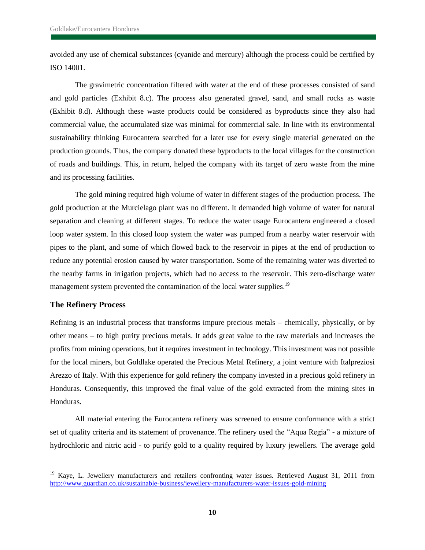avoided any use of chemical substances (cyanide and mercury) although the process could be certified by ISO 14001.

The gravimetric concentration filtered with water at the end of these processes consisted of sand and gold particles (Exhibit 8.c). The process also generated gravel, sand, and small rocks as waste (Exhibit 8.d). Although these waste products could be considered as byproducts since they also had commercial value, the accumulated size was minimal for commercial sale. In line with its environmental sustainability thinking Eurocantera searched for a later use for every single material generated on the production grounds. Thus, the company donated these byproducts to the local villages for the construction of roads and buildings. This, in return, helped the company with its target of zero waste from the mine and its processing facilities*.* 

The gold mining required high volume of water in different stages of the production process. The gold production at the Murcielago plant was no different. It demanded high volume of water for natural separation and cleaning at different stages. To reduce the water usage Eurocantera engineered a closed loop water system. In this closed loop system the water was pumped from a nearby water reservoir with pipes to the plant, and some of which flowed back to the reservoir in pipes at the end of production to reduce any potential erosion caused by water transportation. Some of the remaining water was diverted to the nearby farms in irrigation projects, which had no access to the reservoir. This zero-discharge water management system prevented the contamination of the local water supplies.<sup>19</sup>

### **The Refinery Process**

l

Refining is an industrial process that transforms impure precious metals – chemically, physically, or by other means – to high purity precious metals. It adds great value to the raw materials and increases the profits from mining operations, but it requires investment in technology. This investment was not possible for the local miners, but Goldlake operated the Precious Metal Refinery, a joint venture with Italpreziosi Arezzo of Italy. With this experience for gold refinery the company invested in a precious gold refinery in Honduras. Consequently, this improved the final value of the gold extracted from the mining sites in Honduras.

All material entering the Eurocantera refinery was screened to ensure conformance with a strict set of quality criteria and its statement of provenance. The refinery used the "Aqua Regia" - a mixture of hydrochloric and nitric acid - to purify gold to a quality required by luxury jewellers. The average gold

<sup>&</sup>lt;sup>19</sup> Kaye, L. Jewellery manufacturers and retailers confronting water issues. Retrieved August 31, 2011 from <http://www.guardian.co.uk/sustainable-business/jewellery-manufacturers-water-issues-gold-mining>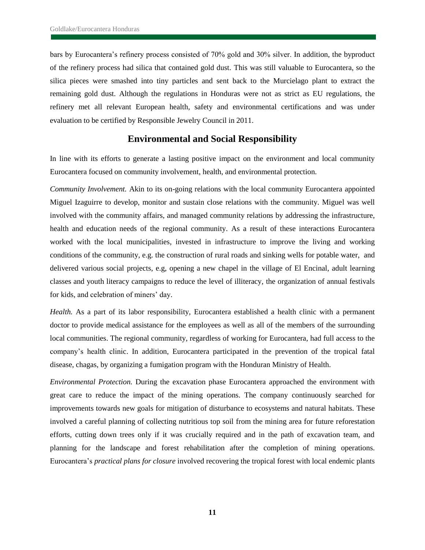bars by Eurocantera"s refinery process consisted of 70% gold and 30% silver. In addition, the byproduct of the refinery process had silica that contained gold dust. This was still valuable to Eurocantera, so the silica pieces were smashed into tiny particles and sent back to the Murcielago plant to extract the remaining gold dust. Although the regulations in Honduras were not as strict as EU regulations, the refinery met all relevant European health, safety and environmental certifications and was under evaluation to be certified by Responsible Jewelry Council in 2011.

## **Environmental and Social Responsibility**

In line with its efforts to generate a lasting positive impact on the environment and local community Eurocantera focused on community involvement, health, and environmental protection.

*Community Involvement.* Akin to its on-going relations with the local community Eurocantera appointed Miguel Izaguirre to develop, monitor and sustain close relations with the community. Miguel was well involved with the community affairs, and managed community relations by addressing the infrastructure, health and education needs of the regional community. As a result of these interactions Eurocantera worked with the local municipalities, invested in infrastructure to improve the living and working conditions of the community, e.g. the construction of rural roads and sinking wells for potable water, and delivered various social projects, e.g, opening a new chapel in the village of El Encinal, adult learning classes and youth literacy campaigns to reduce the level of illiteracy, the organization of annual festivals for kids, and celebration of miners' day.

*Health.* As a part of its labor responsibility, Eurocantera established a health clinic with a permanent doctor to provide medical assistance for the employees as well as all of the members of the surrounding local communities. The regional community, regardless of working for Eurocantera, had full access to the company"s health clinic. In addition, Eurocantera participated in the prevention of the tropical fatal disease, chagas, by organizing a fumigation program with the Honduran Ministry of Health.

*Environmental Protection.* During the excavation phase Eurocantera approached the environment with great care to reduce the impact of the mining operations. The company continuously searched for improvements towards new goals for mitigation of disturbance to ecosystems and natural habitats. These involved a careful planning of collecting nutritious top soil from the mining area for future reforestation efforts, cutting down trees only if it was crucially required and in the path of excavation team, and planning for the landscape and forest rehabilitation after the completion of mining operations. Eurocantera"s *practical plans for closure* involved recovering the tropical forest with local endemic plants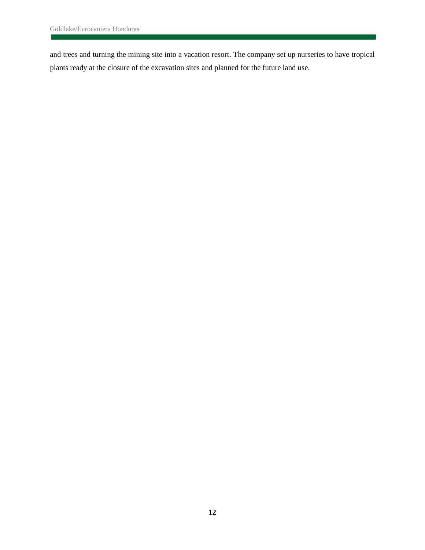and trees and turning the mining site into a vacation resort. The company set up nurseries to have tropical plants ready at the closure of the excavation sites and planned for the future land use.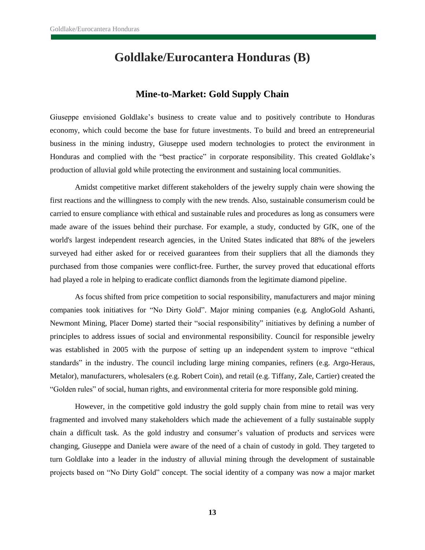# **Goldlake/Eurocantera Honduras (B)**

## **Mine-to-Market: Gold Supply Chain**

Giuseppe envisioned Goldlake"s business to create value and to positively contribute to Honduras economy, which could become the base for future investments. To build and breed an entrepreneurial business in the mining industry, Giuseppe used modern technologies to protect the environment in Honduras and complied with the "best practice" in corporate responsibility. This created Goldlake"s production of alluvial gold while protecting the environment and sustaining local communities.

Amidst competitive market different stakeholders of the jewelry supply chain were showing the first reactions and the willingness to comply with the new trends. Also, sustainable consumerism could be carried to ensure compliance with ethical and sustainable rules and procedures as long as consumers were made aware of the issues behind their purchase. For example, a study, conducted by GfK, one of the world's largest independent research agencies, in the United States indicated that 88% of the jewelers surveyed had either asked for or received guarantees from their suppliers that all the diamonds they purchased from those companies were conflict-free. Further, the survey proved that educational efforts had played a role in helping to eradicate conflict diamonds from the legitimate diamond pipeline.

As focus shifted from price competition to social responsibility, manufacturers and major mining companies took initiatives for "No Dirty Gold". Major mining companies (e.g. AngloGold Ashanti, Newmont Mining, Placer Dome) started their "social responsibility" initiatives by defining a number of principles to address issues of social and environmental responsibility. Council for responsible jewelry was established in 2005 with the purpose of setting up an independent system to improve "ethical standards" in the industry. The council including large mining companies, refiners (e.g. Argo-Heraus, Metalor), manufacturers, wholesalers (e.g. Robert Coin), and retail (e.g. Tiffany, Zale, Cartier) created the "Golden rules" of social, human rights, and environmental criteria for more responsible gold mining.

However, in the competitive gold industry the gold supply chain from mine to retail was very fragmented and involved many stakeholders which made the achievement of a fully sustainable supply chain a difficult task. As the gold industry and consumer"s valuation of products and services were changing, Giuseppe and Daniela were aware of the need of a chain of custody in gold. They targeted to turn Goldlake into a leader in the industry of alluvial mining through the development of sustainable projects based on "No Dirty Gold" concept. The social identity of a company was now a major market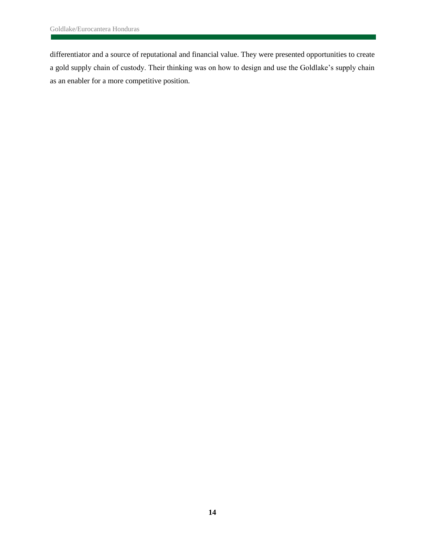differentiator and a source of reputational and financial value. They were presented opportunities to create a gold supply chain of custody. Their thinking was on how to design and use the Goldlake"s supply chain as an enabler for a more competitive position.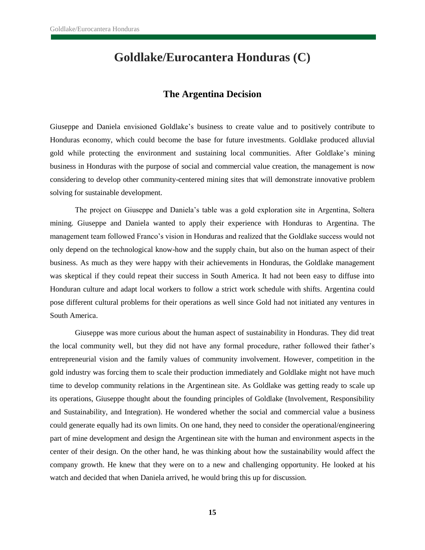# **Goldlake/Eurocantera Honduras (C)**

## **The Argentina Decision**

Giuseppe and Daniela envisioned Goldlake"s business to create value and to positively contribute to Honduras economy, which could become the base for future investments. Goldlake produced alluvial gold while protecting the environment and sustaining local communities. After Goldlake"s mining business in Honduras with the purpose of social and commercial value creation, the management is now considering to develop other community-centered mining sites that will demonstrate innovative problem solving for sustainable development.

The project on Giuseppe and Daniela"s table was a gold exploration site in Argentina, Soltera mining. Giuseppe and Daniela wanted to apply their experience with Honduras to Argentina. The management team followed Franco"s vision in Honduras and realized that the Goldlake success would not only depend on the technological know-how and the supply chain, but also on the human aspect of their business. As much as they were happy with their achievements in Honduras, the Goldlake management was skeptical if they could repeat their success in South America. It had not been easy to diffuse into Honduran culture and adapt local workers to follow a strict work schedule with shifts. Argentina could pose different cultural problems for their operations as well since Gold had not initiated any ventures in South America.

Giuseppe was more curious about the human aspect of sustainability in Honduras. They did treat the local community well, but they did not have any formal procedure, rather followed their father"s entrepreneurial vision and the family values of community involvement. However, competition in the gold industry was forcing them to scale their production immediately and Goldlake might not have much time to develop community relations in the Argentinean site. As Goldlake was getting ready to scale up its operations, Giuseppe thought about the founding principles of Goldlake (Involvement, Responsibility and Sustainability, and Integration). He wondered whether the social and commercial value a business could generate equally had its own limits. On one hand, they need to consider the operational/engineering part of mine development and design the Argentinean site with the human and environment aspects in the center of their design. On the other hand, he was thinking about how the sustainability would affect the company growth. He knew that they were on to a new and challenging opportunity. He looked at his watch and decided that when Daniela arrived, he would bring this up for discussion.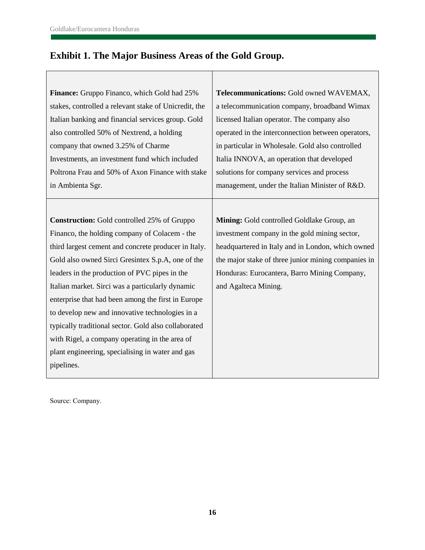# **Exhibit 1. The Major Business Areas of the Gold Group.**

| <b>Finance:</b> Gruppo Financo, which Gold had 25%    | Telecommunications: Gold owned WAVEMAX,             |
|-------------------------------------------------------|-----------------------------------------------------|
| stakes, controlled a relevant stake of Unicredit, the | a telecommunication company, broadband Wimax        |
| Italian banking and financial services group. Gold    | licensed Italian operator. The company also         |
| also controlled 50% of Nextrend, a holding            | operated in the interconnection between operators,  |
| company that owned 3.25% of Charme                    | in particular in Wholesale. Gold also controlled    |
| Investments, an investment fund which included        | Italia INNOVA, an operation that developed          |
| Poltrona Frau and 50% of Axon Finance with stake      | solutions for company services and process          |
| in Ambienta Sgr.                                      | management, under the Italian Minister of R&D.      |
|                                                       |                                                     |
| <b>Construction:</b> Gold controlled 25% of Gruppo    | Mining: Gold controlled Goldlake Group, an          |
| Financo, the holding company of Colacem - the         | investment company in the gold mining sector,       |
| third largest cement and concrete producer in Italy.  | headquartered in Italy and in London, which owned   |
| Gold also owned Sirci Gresintex S.p.A, one of the     | the major stake of three junior mining companies in |
| leaders in the production of PVC pipes in the         | Honduras: Eurocantera, Barro Mining Company,        |
| Italian market. Sirci was a particularly dynamic      | and Agalteca Mining.                                |
| enterprise that had been among the first in Europe    |                                                     |
| to develop new and innovative technologies in a       |                                                     |
| typically traditional sector. Gold also collaborated  |                                                     |
| with Rigel, a company operating in the area of        |                                                     |
| plant engineering, specialising in water and gas      |                                                     |
| pipelines.                                            |                                                     |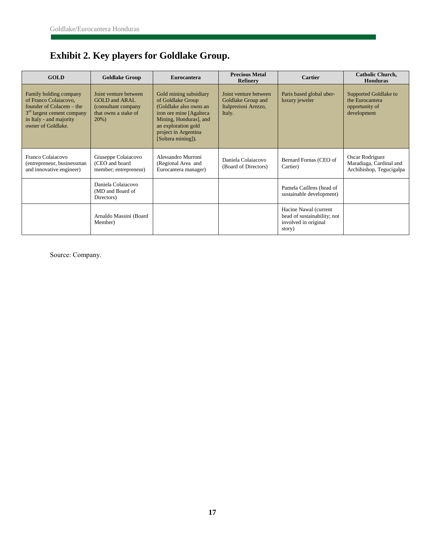# **Exhibit 2. Key players for Goldlake Group.**

| <b>GOLD</b>                                                                                                                                                            | <b>Goldlake Group</b>                                                                                   | <b>Eurocantera</b>                                                                                                                                                                               | <b>Precious Metal</b><br><b>Refinery</b>                                      | <b>Cartier</b>                                                                         | <b>Catholic Church,</b><br><b>Honduras</b>                                |
|------------------------------------------------------------------------------------------------------------------------------------------------------------------------|---------------------------------------------------------------------------------------------------------|--------------------------------------------------------------------------------------------------------------------------------------------------------------------------------------------------|-------------------------------------------------------------------------------|----------------------------------------------------------------------------------------|---------------------------------------------------------------------------|
| Family holding company<br>of Franco Colaiacovo,<br>founder of Colacem – the<br>3 <sup>rd</sup> largest cement company<br>in Italy - and majority<br>owner of Goldlake. | Joint venture between<br><b>GOLD</b> and ARAL<br>(consultant company<br>that owns a stake of<br>$20%$ ) | Gold mining subsidiary<br>of Goldlake Group<br>(Goldlake also owns an<br>iron ore mine [Agalteca]<br>Mining, Honduras], and<br>an exploration gold<br>project in Argentina<br>[Soltera mining]). | Joint venture between<br>Goldlake Group and<br>Italpreziosi Arezzo,<br>Italy. | Paris based global uber-<br>luxury jeweler                                             | Supported Goldlake to<br>the Eurocantera<br>opportunity of<br>development |
| Franco Colaiacovo<br>(entrepreneur, businessman<br>and innovative engineer)                                                                                            | Giuseppe Colaiacovo<br>(CEO and board<br>member; entrepreneur)                                          | Alessandro Murroni<br>(Regional Area and<br>Eurocantera manager)                                                                                                                                 | Daniela Colaiacovo<br>(Board of Directors)                                    | Bernard Fornas (CEO of<br>Cartier)                                                     | Oscar Rodriguez<br>Maradiaga, Cardinal and<br>Archibishop, Tegucigalpa    |
|                                                                                                                                                                        | Daniela Colaiacovo<br>(MD and Board of<br>Directors)                                                    |                                                                                                                                                                                                  |                                                                               | Pamela Caillens (head of<br>sustainable development)                                   |                                                                           |
|                                                                                                                                                                        | Arnaldo Massini (Board<br>Member)                                                                       |                                                                                                                                                                                                  |                                                                               | Hacine Nawal (current<br>head of sustainability; not<br>involved in original<br>story) |                                                                           |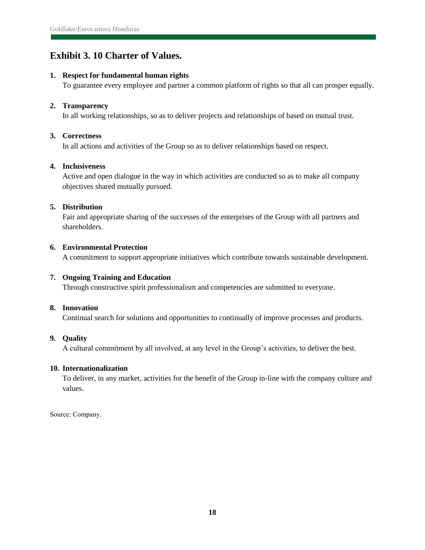## **Exhibit 3. 10 Charter of Values.**

### **1. Respect for fundamental human rights**

To guarantee every employee and partner a common platform of rights so that all can prosper equally.

### **2. Transparency**

In all working relationships, so as to deliver projects and relationships of based on mutual trust.

### **3. Correctness**

In all actions and activities of the Group so as to deliver relationships based on respect.

### **4. Inclusiveness**

Active and open dialogue in the way in which activities are conducted so as to make all company objectives shared mutually pursued.

### **5. Distribution**

Fair and appropriate sharing of the successes of the enterprises of the Group with all partners and shareholders.

### **6. Environmental Protection**

A commitment to support appropriate initiatives which contribute towards sustainable development.

### **7. Ongoing Training and Education**

Through constructive spirit professionalism and competencies are submitted to everyone.

## **8. Innovation**

Continual search for solutions and opportunities to continually of improve processes and products.

## **9. Quality**

A cultural commitment by all involved, at any level in the Group"s activities, to deliver the best.

### **10. Internationalization**

To deliver, in any market, activities for the benefit of the Group in-line with the company culture and values.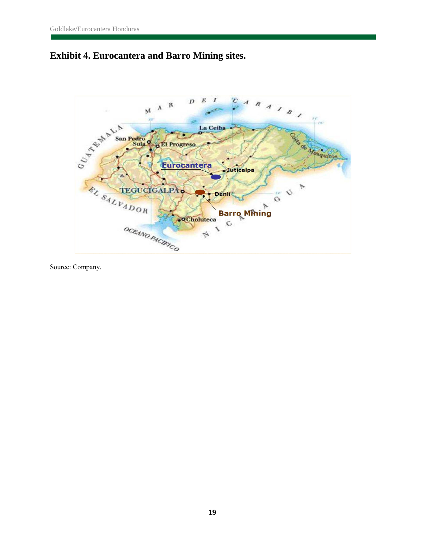

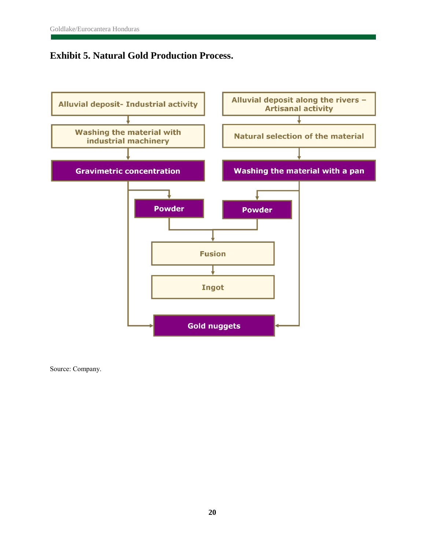## **Exhibit 5. Natural Gold Production Process.**

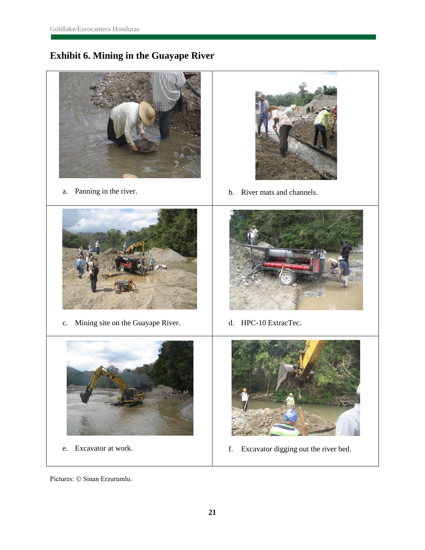# **Exhibit 6. Mining in the Guayape River**



Pictures: © Sinan Erzurumlu.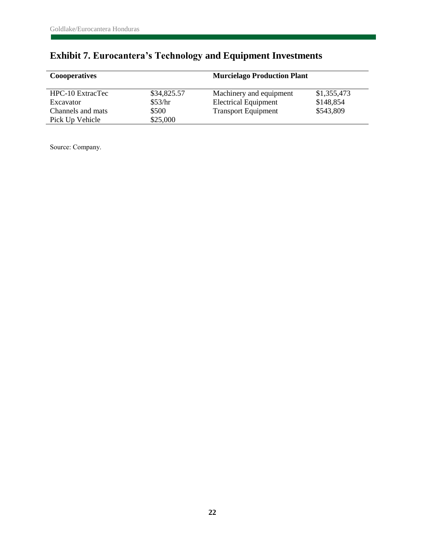# **Exhibit 7. Eurocantera's Technology and Equipment Investments**

| <b>Cooperatives</b>                  |                   | <b>Murcielago Production Plant</b> |             |  |
|--------------------------------------|-------------------|------------------------------------|-------------|--|
| HPC-10 ExtracTec                     | \$34,825.57       | Machinery and equipment            | \$1,355,473 |  |
| Excavator                            | \$53/hr           | <b>Electrical Equipment</b>        | \$148,854   |  |
| Channels and mats<br>Pick Up Vehicle | \$500<br>\$25,000 | <b>Transport Equipment</b>         | \$543,809   |  |